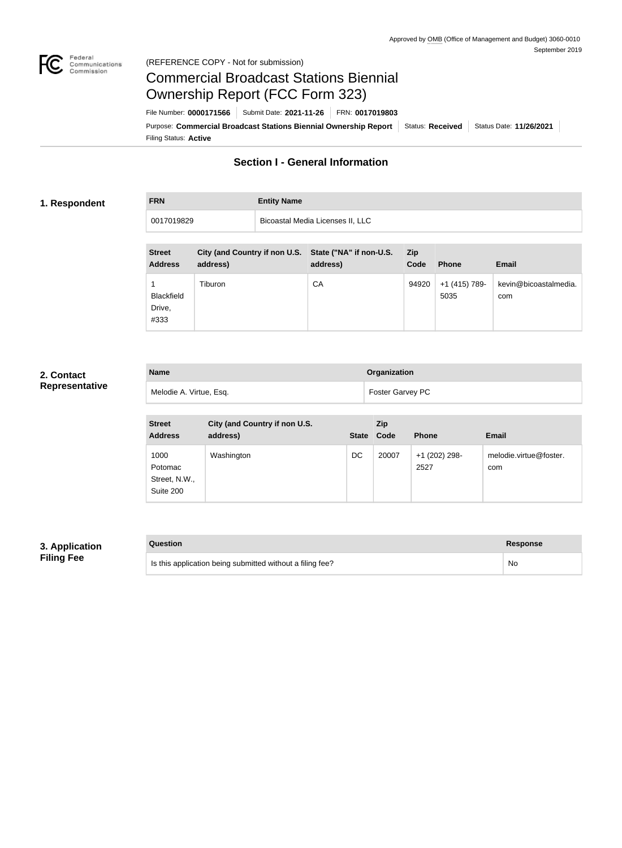

#### Federal<br>Communications<br>Commission (REFERENCE COPY - Not for submission)

Blackfield Drive, #333

# Commercial Broadcast Stations Biennial Ownership Report (FCC Form 323)

Filing Status: **Active** Purpose: Commercial Broadcast Stations Biennial Ownership Report Status: Received Status Date: 11/26/2021 File Number: **0000171566** Submit Date: **2021-11-26** FRN: **0017019803**

# **Section I - General Information**

#### **1. Respondent**

**FRN Entity Name**

| 0017019829     |                                                       | Bicoastal Media Licenses II, LLC |            |               |                       |
|----------------|-------------------------------------------------------|----------------------------------|------------|---------------|-----------------------|
|                |                                                       |                                  |            |               |                       |
| <b>Street</b>  | City (and Country if non U.S. State ("NA" if non-U.S. |                                  | <b>Zip</b> |               |                       |
| <b>Address</b> | address)                                              | address)                         | Code       | <b>Phone</b>  | <b>Email</b>          |
|                | Tiburon                                               | СA                               | 94920      | +1 (415) 789- | kevin@bicoastalmedia. |

# **2. Contact Representative**

| <b>Name</b>             | Organization            |
|-------------------------|-------------------------|
| Melodie A. Virtue, Esq. | <b>Foster Garvey PC</b> |

| <b>Street</b><br><b>Address</b>               | City (and Country if non U.S.<br>address) | <b>State</b> | Zip<br>Code | <b>Phone</b>          | <b>Email</b>                  |
|-----------------------------------------------|-------------------------------------------|--------------|-------------|-----------------------|-------------------------------|
| 1000<br>Potomac<br>Street, N.W.,<br>Suite 200 | Washington                                | DC           | 20007       | +1 (202) 298-<br>2527 | melodie.virtue@foster.<br>com |

### **3. Application Filing Fee**

| Question                                                  | Response |
|-----------------------------------------------------------|----------|
| Is this application being submitted without a filing fee? | No       |

| <b>Response</b> |
|-----------------|
| No              |

5035

com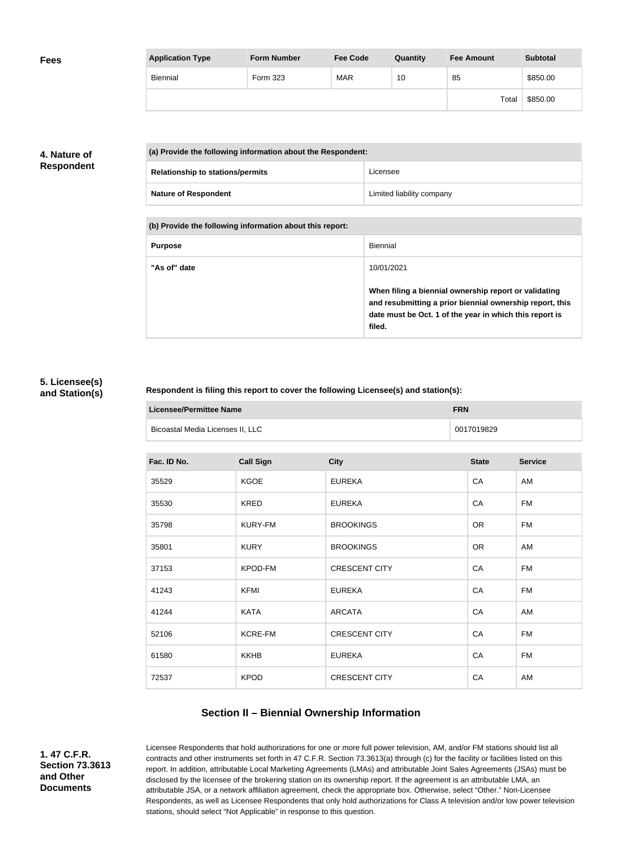| <b>Fees</b> | <b>Application Type</b> | <b>Form Number</b> | <b>Fee Code</b> | Quantity | <b>Fee Amount</b> | <b>Subtotal</b> |
|-------------|-------------------------|--------------------|-----------------|----------|-------------------|-----------------|
|             | Biennial                | Form 323           | <b>MAR</b>      | 10       | 85                | \$850.00        |
|             |                         |                    |                 |          | Total             | \$850.00        |

# **4. Nature of Respondent**

| (a) Provide the following information about the Respondent: |                           |
|-------------------------------------------------------------|---------------------------|
| <b>Relationship to stations/permits</b>                     | Licensee                  |
| <b>Nature of Respondent</b>                                 | Limited liability company |

**(b) Provide the following information about this report:**

| <b>Purpose</b> | Biennial                                                                                                                                                                               |
|----------------|----------------------------------------------------------------------------------------------------------------------------------------------------------------------------------------|
| "As of" date   | 10/01/2021                                                                                                                                                                             |
|                | When filing a biennial ownership report or validating<br>and resubmitting a prior biennial ownership report, this<br>date must be Oct. 1 of the year in which this report is<br>filed. |

#### **5. Licensee(s) and Station(s)**

#### **Respondent is filing this report to cover the following Licensee(s) and station(s):**

| Licensee/Permittee Name          | <b>FRN</b> |
|----------------------------------|------------|
| Bicoastal Media Licenses II, LLC | 0017019829 |

| Fac. ID No. | <b>Call Sign</b> | <b>City</b>          | <b>State</b> | <b>Service</b> |
|-------------|------------------|----------------------|--------------|----------------|
| 35529       | <b>KGOE</b>      | <b>EUREKA</b>        | CA           | AM             |
| 35530       | <b>KRED</b>      | <b>EUREKA</b>        | CA           | <b>FM</b>      |
| 35798       | <b>KURY-FM</b>   | <b>BROOKINGS</b>     | <b>OR</b>    | <b>FM</b>      |
| 35801       | <b>KURY</b>      | <b>BROOKINGS</b>     | <b>OR</b>    | AM             |
| 37153       | KPOD-FM          | <b>CRESCENT CITY</b> | CA           | <b>FM</b>      |
| 41243       | <b>KFMI</b>      | <b>EUREKA</b>        | CA           | <b>FM</b>      |
| 41244       | <b>KATA</b>      | <b>ARCATA</b>        | CA           | AM             |
| 52106       | <b>KCRE-FM</b>   | <b>CRESCENT CITY</b> | CA           | FM             |
| 61580       | <b>KKHB</b>      | <b>EUREKA</b>        | CA           | FM             |
| 72537       | <b>KPOD</b>      | <b>CRESCENT CITY</b> | CA           | AM             |
|             |                  |                      |              |                |

# **Section II – Biennial Ownership Information**

**1. 47 C.F.R. Section 73.3613 and Other Documents**

Licensee Respondents that hold authorizations for one or more full power television, AM, and/or FM stations should list all contracts and other instruments set forth in 47 C.F.R. Section 73.3613(a) through (c) for the facility or facilities listed on this report. In addition, attributable Local Marketing Agreements (LMAs) and attributable Joint Sales Agreements (JSAs) must be disclosed by the licensee of the brokering station on its ownership report. If the agreement is an attributable LMA, an attributable JSA, or a network affiliation agreement, check the appropriate box. Otherwise, select "Other." Non-Licensee Respondents, as well as Licensee Respondents that only hold authorizations for Class A television and/or low power television stations, should select "Not Applicable" in response to this question.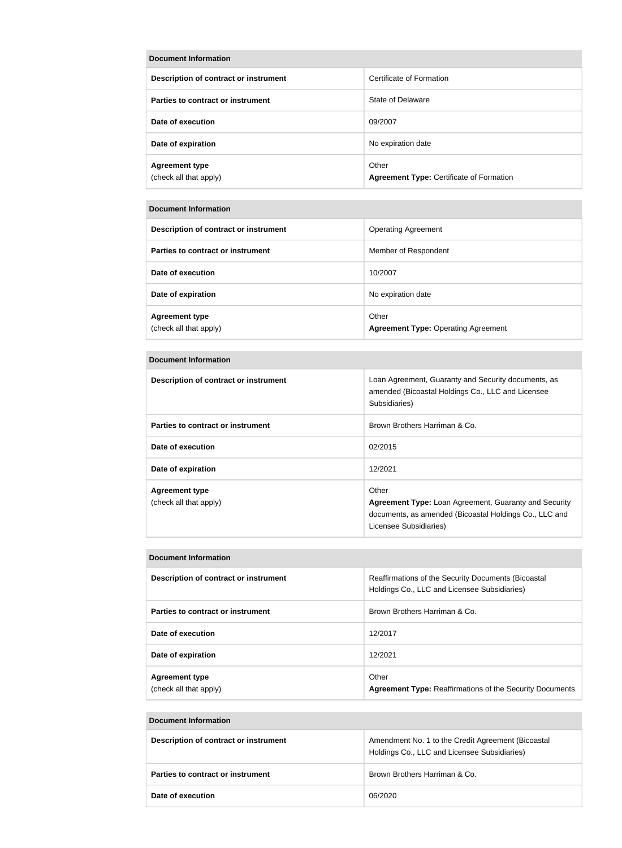| Document Information                            |                                                          |  |  |
|-------------------------------------------------|----------------------------------------------------------|--|--|
| Description of contract or instrument           | Certificate of Formation                                 |  |  |
| Parties to contract or instrument               | State of Delaware                                        |  |  |
| Date of execution                               | 09/2007                                                  |  |  |
| Date of expiration                              | No expiration date                                       |  |  |
| <b>Agreement type</b><br>(check all that apply) | Other<br><b>Agreement Type: Certificate of Formation</b> |  |  |

#### **Document Information**

| Description of contract or instrument           | <b>Operating Agreement</b>                          |
|-------------------------------------------------|-----------------------------------------------------|
| Parties to contract or instrument               | Member of Respondent                                |
| Date of execution                               | 10/2007                                             |
| Date of expiration                              | No expiration date                                  |
| <b>Agreement type</b><br>(check all that apply) | Other<br><b>Agreement Type: Operating Agreement</b> |

#### **Document Information**

| Description of contract or instrument           | Loan Agreement, Guaranty and Security documents, as<br>amended (Bicoastal Holdings Co., LLC and Licensee<br>Subsidiaries)                                 |
|-------------------------------------------------|-----------------------------------------------------------------------------------------------------------------------------------------------------------|
| Parties to contract or instrument               | Brown Brothers Harriman & Co.                                                                                                                             |
| Date of execution                               | 02/2015                                                                                                                                                   |
| Date of expiration                              | 12/2021                                                                                                                                                   |
| <b>Agreement type</b><br>(check all that apply) | Other<br><b>Agreement Type:</b> Loan Agreement, Guaranty and Security<br>documents, as amended (Bicoastal Holdings Co., LLC and<br>Licensee Subsidiaries) |

#### **Document Information**

| Description of contract or instrument           | Reaffirmations of the Security Documents (Bicoastal<br>Holdings Co., LLC and Licensee Subsidiaries) |
|-------------------------------------------------|-----------------------------------------------------------------------------------------------------|
| Parties to contract or instrument               | Brown Brothers Harriman & Co.                                                                       |
| Date of execution                               | 12/2017                                                                                             |
| Date of expiration                              | 12/2021                                                                                             |
| <b>Agreement type</b><br>(check all that apply) | Other<br><b>Agreement Type: Reaffirmations of the Security Documents</b>                            |

#### **Document Information**

| Description of contract or instrument | Amendment No. 1 to the Credit Agreement (Bicoastal<br>Holdings Co., LLC and Licensee Subsidiaries) |
|---------------------------------------|----------------------------------------------------------------------------------------------------|
| Parties to contract or instrument     | Brown Brothers Harriman & Co.                                                                      |
| Date of execution                     | 06/2020                                                                                            |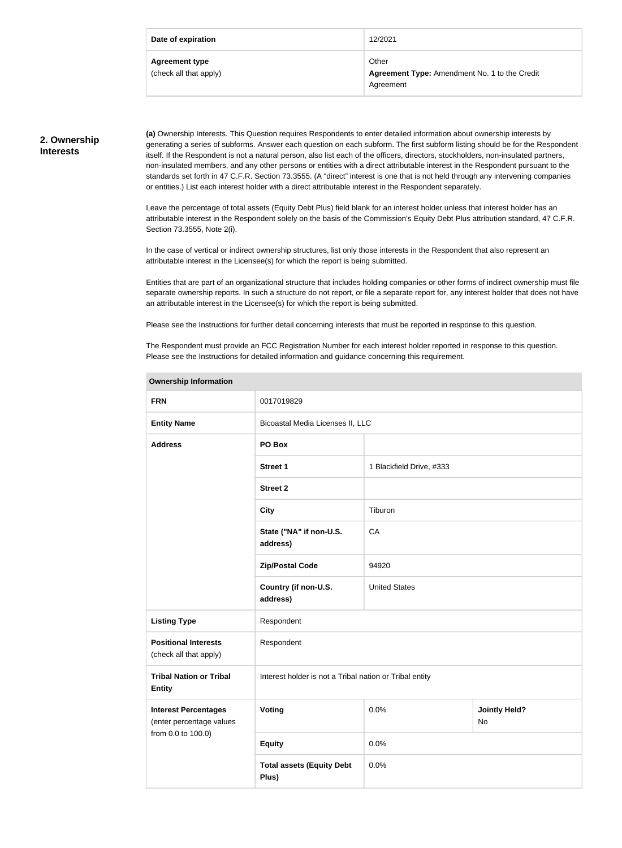| Date of expiration                              | 12/2021                                                             |
|-------------------------------------------------|---------------------------------------------------------------------|
| <b>Agreement type</b><br>(check all that apply) | Other<br>Agreement Type: Amendment No. 1 to the Credit<br>Agreement |

#### **2. Ownership Interests**

**(a)** Ownership Interests. This Question requires Respondents to enter detailed information about ownership interests by generating a series of subforms. Answer each question on each subform. The first subform listing should be for the Respondent itself. If the Respondent is not a natural person, also list each of the officers, directors, stockholders, non-insulated partners, non-insulated members, and any other persons or entities with a direct attributable interest in the Respondent pursuant to the standards set forth in 47 C.F.R. Section 73.3555. (A "direct" interest is one that is not held through any intervening companies or entities.) List each interest holder with a direct attributable interest in the Respondent separately.

Leave the percentage of total assets (Equity Debt Plus) field blank for an interest holder unless that interest holder has an attributable interest in the Respondent solely on the basis of the Commission's Equity Debt Plus attribution standard, 47 C.F.R. Section 73.3555, Note 2(i).

In the case of vertical or indirect ownership structures, list only those interests in the Respondent that also represent an attributable interest in the Licensee(s) for which the report is being submitted.

Entities that are part of an organizational structure that includes holding companies or other forms of indirect ownership must file separate ownership reports. In such a structure do not report, or file a separate report for, any interest holder that does not have an attributable interest in the Licensee(s) for which the report is being submitted.

Please see the Instructions for further detail concerning interests that must be reported in response to this question.

The Respondent must provide an FCC Registration Number for each interest holder reported in response to this question. Please see the Instructions for detailed information and guidance concerning this requirement.

| <b>FRN</b>                                                                    | 0017019829                                              |                                    |  |
|-------------------------------------------------------------------------------|---------------------------------------------------------|------------------------------------|--|
| <b>Entity Name</b>                                                            | Bicoastal Media Licenses II, LLC                        |                                    |  |
| <b>Address</b>                                                                | PO Box                                                  |                                    |  |
|                                                                               | <b>Street 1</b>                                         | 1 Blackfield Drive, #333           |  |
|                                                                               | <b>Street 2</b>                                         |                                    |  |
|                                                                               | <b>City</b>                                             | Tiburon                            |  |
|                                                                               | State ("NA" if non-U.S.<br>address)                     | CA                                 |  |
|                                                                               | <b>Zip/Postal Code</b>                                  | 94920                              |  |
|                                                                               | Country (if non-U.S.<br>address)                        | <b>United States</b>               |  |
| <b>Listing Type</b>                                                           | Respondent                                              |                                    |  |
| <b>Positional Interests</b><br>(check all that apply)                         | Respondent                                              |                                    |  |
| <b>Tribal Nation or Tribal</b><br><b>Entity</b>                               | Interest holder is not a Tribal nation or Tribal entity |                                    |  |
| <b>Interest Percentages</b><br>(enter percentage values<br>from 0.0 to 100.0) | Voting                                                  | 0.0%<br><b>Jointly Held?</b><br>No |  |
|                                                                               | <b>Equity</b>                                           | 0.0%                               |  |
|                                                                               | <b>Total assets (Equity Debt</b><br>Plus)               | 0.0%                               |  |

#### **Ownership Information**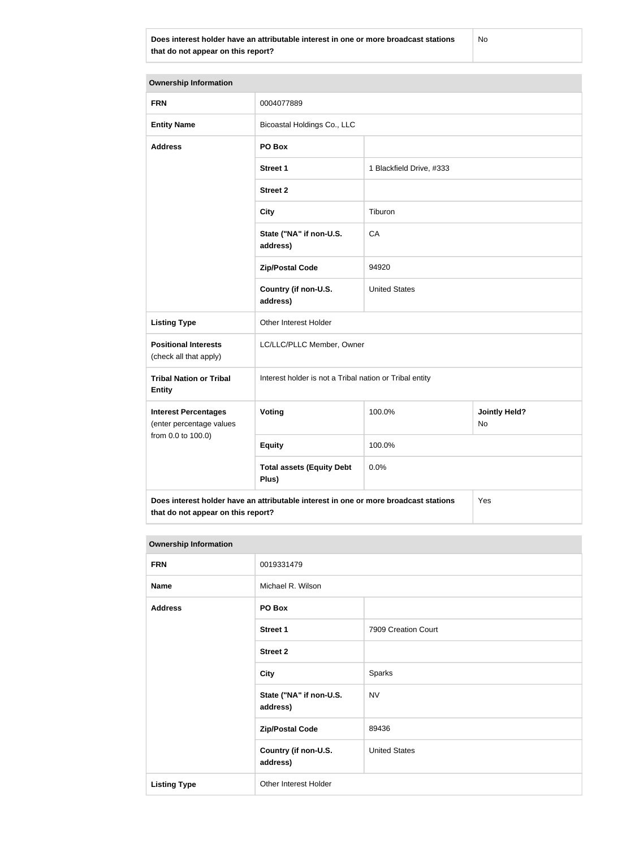**Does interest holder have an attributable interest in one or more broadcast stations that do not appear on this report?**

No

| <b>Ownership Information</b>                            |                                                                                      |                          |                            |  |
|---------------------------------------------------------|--------------------------------------------------------------------------------------|--------------------------|----------------------------|--|
| <b>FRN</b>                                              | 0004077889                                                                           |                          |                            |  |
| <b>Entity Name</b>                                      | Bicoastal Holdings Co., LLC                                                          |                          |                            |  |
| <b>Address</b>                                          | PO Box                                                                               |                          |                            |  |
|                                                         | <b>Street 1</b>                                                                      | 1 Blackfield Drive, #333 |                            |  |
|                                                         | <b>Street 2</b>                                                                      |                          |                            |  |
|                                                         | <b>City</b>                                                                          | Tiburon                  |                            |  |
|                                                         | State ("NA" if non-U.S.<br>address)                                                  | CA                       |                            |  |
|                                                         | <b>Zip/Postal Code</b>                                                               | 94920                    |                            |  |
|                                                         | Country (if non-U.S.<br>address)                                                     | <b>United States</b>     |                            |  |
| <b>Listing Type</b>                                     | Other Interest Holder                                                                |                          |                            |  |
| <b>Positional Interests</b><br>(check all that apply)   | LC/LLC/PLLC Member, Owner                                                            |                          |                            |  |
| <b>Tribal Nation or Tribal</b><br><b>Entity</b>         | Interest holder is not a Tribal nation or Tribal entity                              |                          |                            |  |
| <b>Interest Percentages</b><br>(enter percentage values | Voting                                                                               | 100.0%                   | <b>Jointly Held?</b><br>No |  |
| from 0.0 to 100.0)                                      | <b>Equity</b>                                                                        | 100.0%                   |                            |  |
|                                                         | <b>Total assets (Equity Debt</b><br>Plus)                                            | 0.0%                     |                            |  |
|                                                         | Does interest holder have an attributable interest in one or more broadcast stations |                          | Yes                        |  |

**that do not appear on this report?**

| <b>Ownership Information</b> |                                     |                      |
|------------------------------|-------------------------------------|----------------------|
| <b>FRN</b>                   | 0019331479                          |                      |
| <b>Name</b>                  | Michael R. Wilson                   |                      |
| <b>Address</b>               | PO Box                              |                      |
|                              | <b>Street 1</b>                     | 7909 Creation Court  |
|                              | <b>Street 2</b>                     |                      |
|                              | <b>City</b>                         | Sparks               |
|                              | State ("NA" if non-U.S.<br>address) | <b>NV</b>            |
|                              | <b>Zip/Postal Code</b>              | 89436                |
|                              | Country (if non-U.S.<br>address)    | <b>United States</b> |
| <b>Listing Type</b>          | Other Interest Holder               |                      |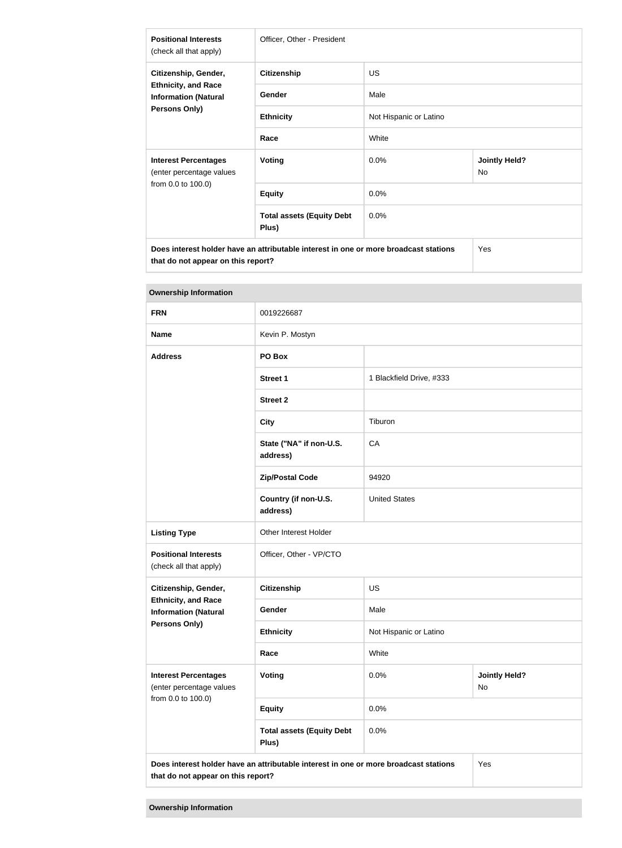| <b>Positional Interests</b><br>(check all that apply)                                              | Officer, Other - President                |                        |                            |
|----------------------------------------------------------------------------------------------------|-------------------------------------------|------------------------|----------------------------|
| Citizenship, Gender,<br><b>Ethnicity, and Race</b><br><b>Information (Natural</b><br>Persons Only) | <b>Citizenship</b>                        | <b>US</b>              |                            |
|                                                                                                    | Gender                                    | Male                   |                            |
|                                                                                                    | <b>Ethnicity</b>                          | Not Hispanic or Latino |                            |
|                                                                                                    | Race                                      | White                  |                            |
| <b>Interest Percentages</b><br>(enter percentage values<br>from 0.0 to 100.0)                      | <b>Voting</b>                             | 0.0%                   | <b>Jointly Held?</b><br>No |
|                                                                                                    | <b>Equity</b>                             | 0.0%                   |                            |
|                                                                                                    | <b>Total assets (Equity Debt</b><br>Plus) | 0.0%                   |                            |
| Does interest holder have an attributable interest in one or more broadcast stations<br>Yes        |                                           |                        |                            |

**that do not appear on this report?**

| <b>Ownership Information</b>                              |                                                                                      |                          |                            |  |
|-----------------------------------------------------------|--------------------------------------------------------------------------------------|--------------------------|----------------------------|--|
| <b>FRN</b>                                                | 0019226687                                                                           |                          |                            |  |
| <b>Name</b>                                               | Kevin P. Mostyn                                                                      |                          |                            |  |
| <b>Address</b>                                            | PO Box                                                                               |                          |                            |  |
|                                                           | <b>Street 1</b>                                                                      | 1 Blackfield Drive, #333 |                            |  |
|                                                           | <b>Street 2</b>                                                                      |                          |                            |  |
|                                                           | <b>City</b>                                                                          | Tiburon                  |                            |  |
|                                                           | State ("NA" if non-U.S.<br>address)                                                  | CA                       |                            |  |
|                                                           | <b>Zip/Postal Code</b>                                                               | 94920                    |                            |  |
|                                                           | Country (if non-U.S.<br>address)                                                     | <b>United States</b>     |                            |  |
| <b>Listing Type</b>                                       | Other Interest Holder                                                                |                          |                            |  |
| <b>Positional Interests</b><br>(check all that apply)     | Officer, Other - VP/CTO                                                              |                          |                            |  |
| Citizenship, Gender,                                      | <b>Citizenship</b>                                                                   | <b>US</b>                |                            |  |
| <b>Ethnicity, and Race</b><br><b>Information (Natural</b> | Gender                                                                               | Male                     |                            |  |
| Persons Only)                                             | <b>Ethnicity</b>                                                                     | Not Hispanic or Latino   |                            |  |
|                                                           | Race                                                                                 | White                    |                            |  |
| <b>Interest Percentages</b><br>(enter percentage values   | Voting                                                                               | 0.0%                     | <b>Jointly Held?</b><br>No |  |
| from 0.0 to 100.0)                                        | <b>Equity</b>                                                                        | 0.0%                     |                            |  |
|                                                           | <b>Total assets (Equity Debt</b><br>Plus)                                            | 0.0%                     |                            |  |
| that do not appear on this report?                        | Does interest holder have an attributable interest in one or more broadcast stations |                          | Yes                        |  |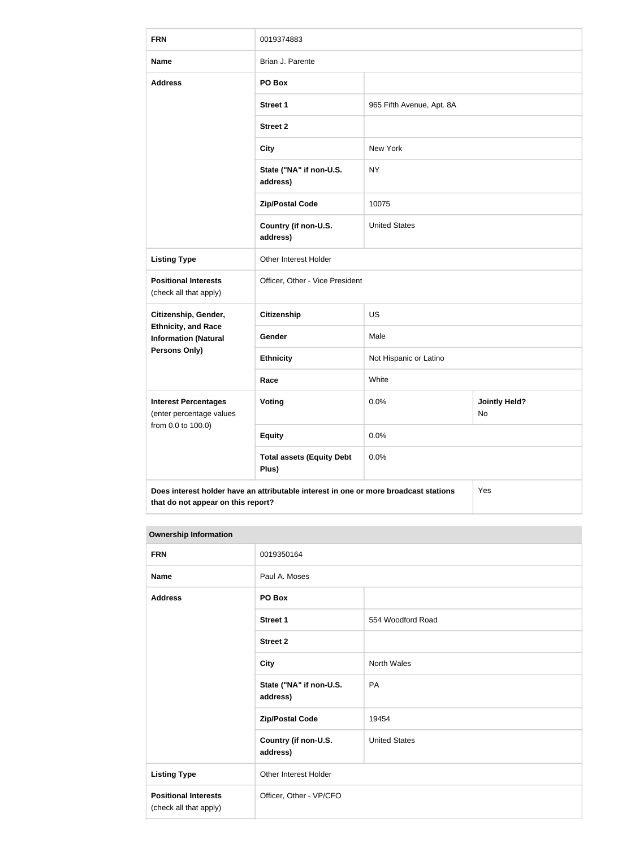| <b>FRN</b>                                                | 0019374883                                                                           |                           |                            |
|-----------------------------------------------------------|--------------------------------------------------------------------------------------|---------------------------|----------------------------|
| <b>Name</b>                                               | Brian J. Parente                                                                     |                           |                            |
| <b>Address</b>                                            | PO Box                                                                               |                           |                            |
|                                                           | <b>Street 1</b>                                                                      | 965 Fifth Avenue, Apt. 8A |                            |
|                                                           | <b>Street 2</b>                                                                      |                           |                            |
|                                                           | <b>City</b>                                                                          | New York                  |                            |
|                                                           | State ("NA" if non-U.S.<br>address)                                                  | <b>NY</b>                 |                            |
|                                                           | <b>Zip/Postal Code</b>                                                               | 10075                     |                            |
|                                                           | Country (if non-U.S.<br>address)                                                     | <b>United States</b>      |                            |
| <b>Listing Type</b>                                       | Other Interest Holder                                                                |                           |                            |
| <b>Positional Interests</b><br>(check all that apply)     | Officer, Other - Vice President                                                      |                           |                            |
| Citizenship, Gender,                                      | <b>Citizenship</b><br><b>US</b>                                                      |                           |                            |
| <b>Ethnicity, and Race</b><br><b>Information (Natural</b> | Gender                                                                               | Male                      |                            |
| <b>Persons Only)</b>                                      | <b>Ethnicity</b>                                                                     | Not Hispanic or Latino    |                            |
|                                                           | Race                                                                                 | White                     |                            |
| <b>Interest Percentages</b><br>(enter percentage values   | Voting                                                                               | 0.0%                      | <b>Jointly Held?</b><br>No |
| from 0.0 to 100.0)                                        | <b>Equity</b>                                                                        | 0.0%                      |                            |
|                                                           | <b>Total assets (Equity Debt</b><br>Plus)                                            | 0.0%                      |                            |
| that do not appear on this report?                        | Does interest holder have an attributable interest in one or more broadcast stations |                           | Yes                        |

#### **Ownership Information**

| <b>FRN</b>                                            | 0019350164                          |                      |
|-------------------------------------------------------|-------------------------------------|----------------------|
| <b>Name</b>                                           | Paul A. Moses                       |                      |
| <b>Address</b>                                        | PO Box                              |                      |
|                                                       | <b>Street 1</b>                     | 554 Woodford Road    |
|                                                       | <b>Street 2</b>                     |                      |
|                                                       | <b>City</b>                         | <b>North Wales</b>   |
|                                                       | State ("NA" if non-U.S.<br>address) | PA                   |
|                                                       | <b>Zip/Postal Code</b>              | 19454                |
|                                                       | Country (if non-U.S.<br>address)    | <b>United States</b> |
| <b>Listing Type</b>                                   | Other Interest Holder               |                      |
| <b>Positional Interests</b><br>(check all that apply) | Officer, Other - VP/CFO             |                      |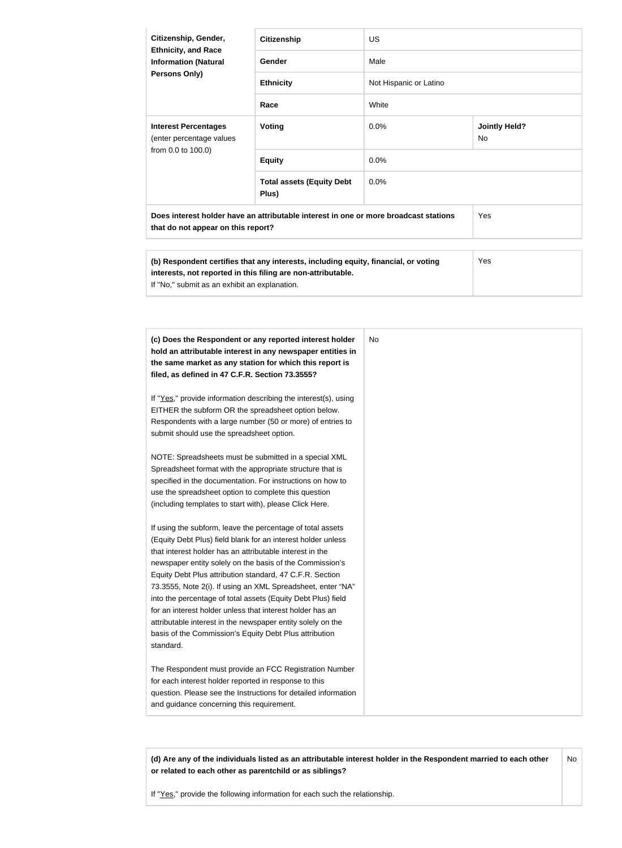| Citizenship, Gender,<br><b>Ethnicity, and Race</b><br><b>Information (Natural</b><br><b>Persons Only)</b> | <b>Citizenship</b>                                                                   | US.                    |                            |
|-----------------------------------------------------------------------------------------------------------|--------------------------------------------------------------------------------------|------------------------|----------------------------|
|                                                                                                           | Gender                                                                               | Male                   |                            |
|                                                                                                           | <b>Ethnicity</b>                                                                     | Not Hispanic or Latino |                            |
|                                                                                                           | Race                                                                                 | White                  |                            |
| <b>Interest Percentages</b><br>(enter percentage values                                                   | Voting                                                                               | $0.0\%$                | <b>Jointly Held?</b><br>No |
| from 0.0 to 100.0)                                                                                        | <b>Equity</b>                                                                        | 0.0%                   |                            |
|                                                                                                           | <b>Total assets (Equity Debt</b><br>Plus)                                            | $0.0\%$                |                            |
| that do not appear on this report?                                                                        | Does interest holder have an attributable interest in one or more broadcast stations |                        | Yes                        |

| (b) Respondent certifies that any interests, including equity, financial, or voting | Yes |
|-------------------------------------------------------------------------------------|-----|
| interests, not reported in this filing are non-attributable.                        |     |
| If "No," submit as an exhibit an explanation.                                       |     |

| (c) Does the Respondent or any reported interest holder         | No. |
|-----------------------------------------------------------------|-----|
| hold an attributable interest in any newspaper entities in      |     |
| the same market as any station for which this report is         |     |
| filed, as defined in 47 C.F.R. Section 73.3555?                 |     |
| If "Yes," provide information describing the interest(s), using |     |
| EITHER the subform OR the spreadsheet option below.             |     |
| Respondents with a large number (50 or more) of entries to      |     |
| submit should use the spreadsheet option.                       |     |
| NOTE: Spreadsheets must be submitted in a special XML           |     |
| Spreadsheet format with the appropriate structure that is       |     |
| specified in the documentation. For instructions on how to      |     |
| use the spreadsheet option to complete this question            |     |
| (including templates to start with), please Click Here.         |     |
| If using the subform, leave the percentage of total assets      |     |
| (Equity Debt Plus) field blank for an interest holder unless    |     |
| that interest holder has an attributable interest in the        |     |
| newspaper entity solely on the basis of the Commission's        |     |
| Equity Debt Plus attribution standard, 47 C.F.R. Section        |     |
| 73.3555, Note 2(i). If using an XML Spreadsheet, enter "NA"     |     |
| into the percentage of total assets (Equity Debt Plus) field    |     |
| for an interest holder unless that interest holder has an       |     |
| attributable interest in the newspaper entity solely on the     |     |
| basis of the Commission's Equity Debt Plus attribution          |     |
| standard.                                                       |     |
| The Respondent must provide an FCC Registration Number          |     |
| for each interest holder reported in response to this           |     |
| question. Please see the Instructions for detailed information  |     |
| and guidance concerning this requirement.                       |     |

**(d) Are any of the individuals listed as an attributable interest holder in the Respondent married to each other or related to each other as parentchild or as siblings?** No

If "Yes," provide the following information for each such the relationship.